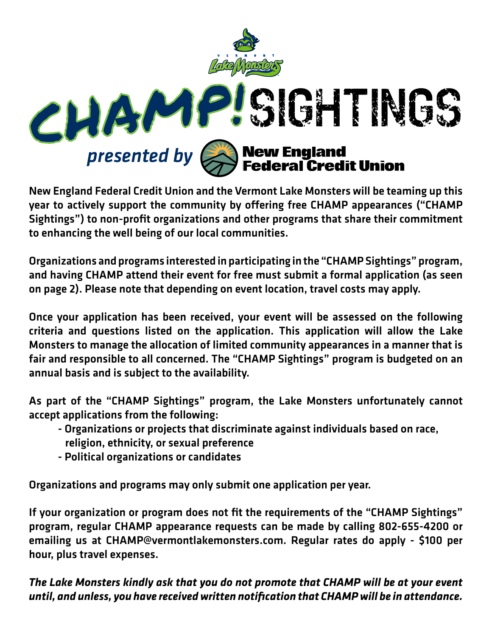

New England Federal Credit Union and the Vermont Lake Monsters will be teaming up this year to actively support the community by offering free CHAMP appearances ("CHAMP Sightings") to non-profit organizations and other programs that share their commitment to enhancing the well being of our local communities.

Organizations and programs interested in participating in the "CHAMP Sightings" program, and having CHAMP attend their event for free must submit a formal application (as seen on page 2). Please note that depending on event location, travel costs may apply.

Once your application has been received, your event will be assessed on the following criteria and questions listed on the application. This application will allow the Lake Monsters to manage the allocation of limited community appearances in a manner that is fair and responsible to all concerned. The "CHAMP Sightings" program is budgeted on an annual basis and is subject to the availability.

As part of the "CHAMP Sightings" program, the Lake Monsters unfortunately cannot accept applications from the following:

- Organizations or projects that discriminate against individuals based on race, religion, ethnicity, or sexual preference
- Political organizations or candidates

Organizations and programs may only submit one application per year.

If your organization or program does not fit the requirements of the "CHAMP Sightings" program, regular CHAMP appearance requests can be made by calling 802-655-4200 or emailing us at CHAMP@vermontlakemonsters.com. Regular rates do apply - \$100 per hour, plus travel expenses.

*The Lake Monsters kindly ask that you do not promote that CHAMP will be at your event until, and unless, you have received written notification that CHAMP will be in attendance.*